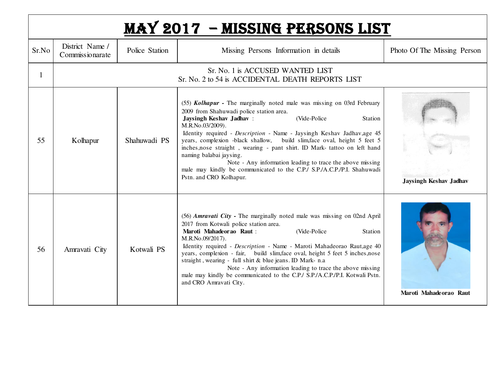|       |                                    |                | <b>MAY 2017 - MISSING PERSONS LIST</b>                                                                                                                                                                                                                                                                                                                                                                                                                                                                                                                                                                                                |                               |
|-------|------------------------------------|----------------|---------------------------------------------------------------------------------------------------------------------------------------------------------------------------------------------------------------------------------------------------------------------------------------------------------------------------------------------------------------------------------------------------------------------------------------------------------------------------------------------------------------------------------------------------------------------------------------------------------------------------------------|-------------------------------|
| Sr.No | District Name /<br>Commissionarate | Police Station | Missing Persons Information in details                                                                                                                                                                                                                                                                                                                                                                                                                                                                                                                                                                                                | Photo Of The Missing Person   |
| 1     |                                    |                | Sr. No. 1 is ACCUSED WANTED LIST<br>Sr. No. 2 to 54 is ACCIDENTAL DEATH REPORTS LIST                                                                                                                                                                                                                                                                                                                                                                                                                                                                                                                                                  |                               |
| 55    | Kolhapur                           | Shahuwadi PS   | (55) <i>Kolhapur</i> - The marginally noted male was missing on 03rd February<br>2009 from Shahuwadi police station area.<br>Jaysingh Keshav Jadhav:<br>(Vide-Police)<br>Station<br>M.R.No.03/2009).<br>Identity required - Description - Name - Jaysingh Keshav Jadhav, age 45<br>years, complexion -black shallow, build slim, face oval, height 5 feet 5<br>inches, nose straight, wearing - pant shirt. ID Mark-tattoo on left hand<br>naming balabai jaysing.<br>Note - Any information leading to trace the above missing<br>male may kindly be communicated to the C.P./ S.P./A.C.P./P.I. Shahuwadi<br>Pstn. and CRO Kolhapur. | <b>Jaysingh Keshav Jadhav</b> |
| 56    | Amravati City                      | Kotwali PS     | (56) Amravati City - The marginally noted male was missing on 02nd April<br>2017 from Kotwali police station area.<br>(Vide-Police<br>Maroti Mahadeorao Raut :<br>Station<br>M.R.No.09/2017).<br>Identity required - Description - Name - Maroti Mahadeorao Raut,age 40<br>years, complexion - fair, build slim, face oval, height 5 feet 5 inches, nose<br>straight, wearing - full shirt & blue jeans. ID Mark- n.a<br>Note - Any information leading to trace the above missing<br>male may kindly be communicated to the C.P./ S.P./A.C.P./P.I. Kotwali Pstn.<br>and CRO Amravati City.                                           | Maroti Mahadeorao Raut        |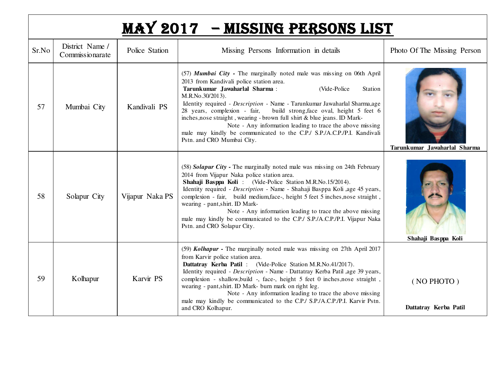|       |                                    |                 | MAY 2017 - MISSING PERSONS LIST                                                                                                                                                                                                                                                                                                                                                                                                                                                                                                                                                                               |                                     |
|-------|------------------------------------|-----------------|---------------------------------------------------------------------------------------------------------------------------------------------------------------------------------------------------------------------------------------------------------------------------------------------------------------------------------------------------------------------------------------------------------------------------------------------------------------------------------------------------------------------------------------------------------------------------------------------------------------|-------------------------------------|
| Sr.No | District Name /<br>Commissionarate | Police Station  | Missing Persons Information in details                                                                                                                                                                                                                                                                                                                                                                                                                                                                                                                                                                        | Photo Of The Missing Person         |
| 57    | Mumbai City                        | Kandivali PS    | (57) Mumbai City - The marginally noted male was missing on 06th April<br>2013 from Kandivali police station area.<br>Tarunkumar Jawaharlal Sharma:<br>(Vide-Police<br>Station<br>M.R.No.30/2013).<br>Identity required - Description - Name - Tarunkumar Jawaharlal Sharma,age<br>28 years, complexion - fair,<br>build strong, face oval, height 5 feet 6<br>inches, nose straight, wearing - brown full shirt & blue jeans. ID Mark-<br>Note - Any information leading to trace the above missing<br>male may kindly be communicated to the C.P./ S.P./A.C.P./P.I. Kandivali<br>Pstn. and CRO Mumbai City. | Tarunkumar Jawaharlal Sharma        |
| 58    | Solapur City                       | Vijapur Naka PS | (58) Solapur City - The marginally noted male was missing on 24th February<br>2014 from Vijapur Naka police station area.<br>Shahaji Basppa Koli: (Vide-Police Station M.R.No.15/2014).<br>Identity required - Description - Name - Shahaji Basppa Koli ,age 45 years,<br>complexion - fair, build medium, face-, height 5 feet 5 inches, nose straight,<br>wearing - pant, shirt. ID Mark-<br>Note - Any information leading to trace the above missing<br>male may kindly be communicated to the C.P./ S.P./A.C.P./P.I. Vijapur Naka<br>Pstn. and CRO Solapur City.                                         | Shahaji Basppa Koli                 |
| 59    | Kolhapur                           | Karvir PS       | (59) Kolhapur - The marginally noted male was missing on 27th April 2017<br>from Karvir police station area.<br>Dattatray Kerba Patil: (Vide-Police Station M.R.No.41/2017).<br>Identity required - Description - Name - Dattatray Kerba Patil ,age 39 years,<br>complexion - shallow, build -, face-, height 5 feet 0 inches, nose straight,<br>wearing - pant, shirt. ID Mark- burn mark on right leg.<br>Note - Any information leading to trace the above missing<br>male may kindly be communicated to the C.P./ S.P./A.C.P./P.I. Karvir Pstn.<br>and CRO Kolhapur.                                      | (NO PHOTO)<br>Dattatray Kerba Patil |

I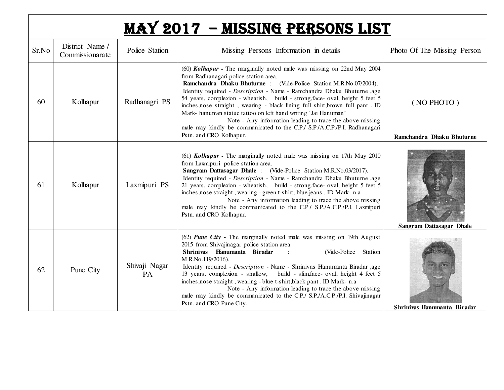| MAY 2017 - MISSING PERSONS LIST |
|---------------------------------|
|---------------------------------|

| Sr.No | District Name /<br>Commissionarate | Police Station             | Missing Persons Information in details                                                                                                                                                                                                                                                                                                                                                                                                                                                                                                                                                                                                                                 | Photo Of The Missing Person             |
|-------|------------------------------------|----------------------------|------------------------------------------------------------------------------------------------------------------------------------------------------------------------------------------------------------------------------------------------------------------------------------------------------------------------------------------------------------------------------------------------------------------------------------------------------------------------------------------------------------------------------------------------------------------------------------------------------------------------------------------------------------------------|-----------------------------------------|
| 60    | Kolhapur                           | Radhanagri PS              | (60) Kolhapur - The marginally noted male was missing on 22nd May 2004<br>from Radhanagari police station area.<br>Ramchandra Dhaku Bhuturne: (Vide-Police Station M.R.No.07/2004).<br>Identity required - Description - Name - Ramchandra Dhaku Bhuturne ,age<br>54 years, complexion - wheatish, build - strong, face- oval, height 5 feet 5<br>inches, nose straight, wearing - black lining full shirt, brown full pant. ID<br>Mark- hanuman statue tattoo on left hand writing 'Jai Hanuman'<br>Note - Any information leading to trace the above missing<br>male may kindly be communicated to the C.P./ S.P./A.C.P./P.I. Radhanagari<br>Pstn. and CRO Kolhapur. | (NO PHOTO)<br>Ramchandra Dhaku Bhuturne |
| -61   | Kolhapur                           | Laxmipuri PS               | (61) Kolhapur - The marginally noted male was missing on 17th May 2010<br>from Laxmipuri police station area.<br>Sangram Dattasagar Dhale: (Vide-Police Station M.R.No.03/2017).<br>Identity required - Description - Name - Ramchandra Dhaku Bhuturne ,age<br>21 years, complexion - wheatish, build - strong, face- oval, height 5 feet 5<br>inches, nose straight, wearing - green t-shirt, blue jeans. ID Mark- n.a<br>Note - Any information leading to trace the above missing<br>male may kindly be communicated to the C.P./ S.P./A.C.P./P.I. Laxmipuri<br>Pstn. and CRO Kolhapur.                                                                             | <b>Sangram Dattasagar Dhale</b>         |
| 62    | Pune City                          | Shivaji Nagar<br><b>PA</b> | (62) <b>Pune City</b> - The marginally noted male was missing on 19th August<br>2015 from Shivajinagar police station area.<br>Shriniyas Hanumanta Biradar<br>(Vide-Police Station<br>$\ddot{\phantom{a}}$<br>M.R.No.119/2016).<br>Identity required - Description - Name - Shrinivas Hanumanta Biradar ,age<br>13 years, complexion - shallow, build - slim, face- oval, height 4 feet 5<br>inches, nose straight, wearing - blue t-shirt, black pant. ID Mark- n.a<br>Note - Any information leading to trace the above missing<br>male may kindly be communicated to the C.P./ S.P./A.C.P./P.I. Shivajinagar<br>Pstn. and CRO Pune City.                            | Shrinivas Hanumanta Biradar             |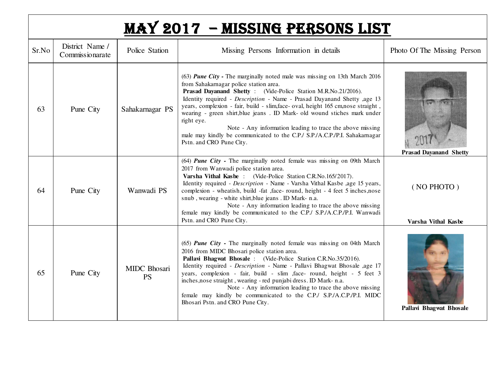|       |                                    |                           | <b>MAY 2017 - MISSING PERSONS LIST</b>                                                                                                                                                                                                                                                                                                                                                                                                                                                                                                                                                                                 |                                   |
|-------|------------------------------------|---------------------------|------------------------------------------------------------------------------------------------------------------------------------------------------------------------------------------------------------------------------------------------------------------------------------------------------------------------------------------------------------------------------------------------------------------------------------------------------------------------------------------------------------------------------------------------------------------------------------------------------------------------|-----------------------------------|
| Sr.No | District Name /<br>Commissionarate | Police Station            | Missing Persons Information in details                                                                                                                                                                                                                                                                                                                                                                                                                                                                                                                                                                                 | Photo Of The Missing Person       |
| 63    | Pune City                          | Sahakarnagar PS           | (63) Pune City - The marginally noted male was missing on 13th March 2016<br>from Sahakarnagar police station area.<br>Prasad Dayanand Shetty: (Vide-Police Station M.R.No.21/2016).<br>Identity required - Description - Name - Prasad Dayanand Shetty ,age 13<br>years, complexion - fair, build - slim, face- oval, height 165 cm, nose straight,<br>wearing - green shirt, blue jeans . ID Mark- old wound stiches mark under<br>right eye.<br>Note - Any information leading to trace the above missing<br>male may kindly be communicated to the C.P./ S.P./A.C.P./P.I. Sahakarnagar<br>Pstn. and CRO Pune City. | <b>Prasad Dayanand Shetty</b>     |
| 64    | Pune City                          | Wanwadi PS                | (64) Pune City - The marginally noted female was missing on 09th March<br>2017 from Wanwadi police station area.<br>Varsha Vithal Kasbe: (Vide-Police Station C.R.No.165/2017).<br>Identity required - Description - Name - Varsha Vithal Kasbe ,age 15 years,<br>complexion - wheatish, build -fat ,face- round, height - 4 feet 5 inches,nose<br>snub, wearing - white shirt, blue jeans. ID Mark- n.a.<br>Note - Any information leading to trace the above missing<br>female may kindly be communicated to the C.P./ S.P./A.C.P./P.I. Wanwadi<br>Pstn. and CRO Pune City.                                          | (NO PHOTO)<br>Varsha Vithal Kasbe |
| 65    | Pune City                          | MIDC Bhosari<br><b>PS</b> | (65) Pune City - The marginally noted female was missing on 04th March<br>2016 from MIDC Bhosari police station area.<br>Pallavi Bhagwat Bhosale: (Vide-Police Station C.R.No.35/2016).<br>Identity required - Description - Name - Pallavi Bhagwat Bhosale ,age 17<br>years, complexion - fair, build - slim , face- round, height - 5 feet 3<br>inches, nose straight, wearing - red punjabi dress. ID Mark- n.a.<br>Note - Any information leading to trace the above missing<br>female may kindly be communicated to the C.P./ S.P./A.C.P./P.I. MIDC<br>Bhosari Pstn. and CRO Pune City.                           | Pallavi Bhagwat Bhosale           |

I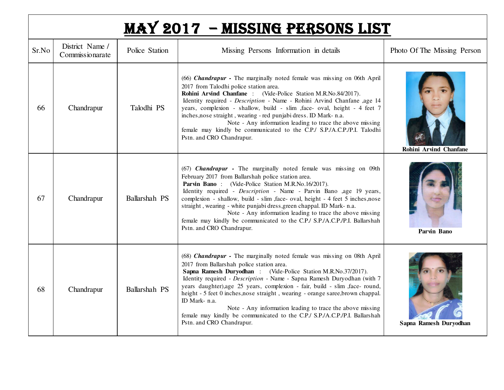|  | MAY 2017 - MISSING PERSONS LIST |
|--|---------------------------------|
|--|---------------------------------|

| Sr.No | District Name /<br>Commissionarate | Police Station | Missing Persons Information in details                                                                                                                                                                                                                                                                                                                                                                                                                                                                                                                                                                                         | Photo Of The Missing Person   |
|-------|------------------------------------|----------------|--------------------------------------------------------------------------------------------------------------------------------------------------------------------------------------------------------------------------------------------------------------------------------------------------------------------------------------------------------------------------------------------------------------------------------------------------------------------------------------------------------------------------------------------------------------------------------------------------------------------------------|-------------------------------|
| 66    | Chandrapur                         | Talodhi PS     | (66) Chandrapur - The marginally noted female was missing on 06th April<br>2017 from Talodhi police station area.<br>Rohini Arvind Chanfane: (Vide-Police Station M.R.No.84/2017).<br>Identity required - Description - Name - Rohini Arvind Chanfane ,age 14<br>years, complexion - shallow, build - slim , face- oval, height - 4 feet 7<br>inches, nose straight, wearing - red punjabi dress. ID Mark- n.a.<br>Note - Any information leading to trace the above missing<br>female may kindly be communicated to the C.P./ S.P./A.C.P./P.I. Talodhi<br>Pstn. and CRO Chandrapur.                                           | <b>Rohini Arvind Chanfane</b> |
| 67    | Chandrapur                         | Ballarshah PS  | (67) <b>Chandrapur</b> - The marginally noted female was missing on 09th<br>February 2017 from Ballarshah police station area.<br>Parvin Bano: (Vide-Police Station M.R.No.16/2017).<br>Identity required - Description - Name - Parvin Bano ,age 19 years,<br>complexion - shallow, build - slim , face- oval, height - 4 feet 5 inches, nose<br>straight, wearing - white punjabi dress, green chappal. ID Mark- n.a.<br>Note - Any information leading to trace the above missing<br>female may kindly be communicated to the C.P./ S.P./A.C.P./P.I. Ballarshah<br>Pstn. and CRO Chandrapur.                                | Parvin Bano                   |
| 68    | Chandrapur                         | Ballarshah PS  | (68) Chandrapur - The marginally noted female was missing on 08th April<br>2017 from Ballarshah police station area.<br>Sapna Ramesh Duryodhan : (Vide-Police Station M.R.No.37/2017).<br>Identity required - Description - Name - Sapna Ramesh Duryodhan (with 7<br>years daughter), age 25 years, complexion - fair, build - slim , face- round,<br>height - 5 feet 0 inches, nose straight, wearing - orange saree, brown chappal.<br>ID Mark- n.a.<br>Note - Any information leading to trace the above missing<br>female may kindly be communicated to the C.P./ S.P./A.C.P./P.I. Ballarshah<br>Pstn. and CRO Chandrapur. | Sapna Ramesh Duryodhan        |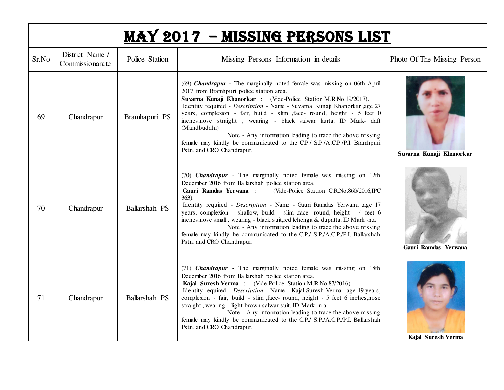|       |                                    |                | <b>MAY 2017 - MISSING PERSONS LIST</b>                                                                                                                                                                                                                                                                                                                                                                                                                                                                                                                                                                                           |                             |
|-------|------------------------------------|----------------|----------------------------------------------------------------------------------------------------------------------------------------------------------------------------------------------------------------------------------------------------------------------------------------------------------------------------------------------------------------------------------------------------------------------------------------------------------------------------------------------------------------------------------------------------------------------------------------------------------------------------------|-----------------------------|
| Sr.No | District Name /<br>Commissionarate | Police Station | Missing Persons Information in details                                                                                                                                                                                                                                                                                                                                                                                                                                                                                                                                                                                           | Photo Of The Missing Person |
| 69    | Chandrapur                         | Bramhapuri PS  | (69) Chandrapur - The marginally noted female was missing on 06th April<br>2017 from Bramhpuri police station area.<br>Suvarna Kunaji Khanorkar: (Vide-Police Station M.R.No.19/2017).<br>Identity required - Description - Name - Suvarna Kunaji Khanorkar ,age 27<br>years, complexion - fair, build - slim , face- round, height - 5 feet 0<br>inches, nose straight, wearing - black salwar kurta. ID Mark- daft<br>(Mandbuddhi)<br>Note - Any information leading to trace the above missing<br>female may kindly be communicated to the C.P./ S.P./A.C.P./P.I. Bramhpuri<br>Pstn. and CRO Chandrapur.                      | Suvarna Kunaji Khanorkar    |
| 70    | Chandrapur                         | Ballarshah PS  | (70) <b>Chandrapur</b> - The marginally noted female was missing on 12th<br>December 2016 from Ballarshah police station area.<br>(Vide-Police Station C.R.No.860/2016,IPC<br>Gauri Ramdas Yerwana :<br>$363$ ).<br>Identity required - Description - Name - Gauri Ramdas Yerwana ,age 17<br>years, complexion - shallow, build - slim , face- round, height - 4 feet 6<br>inches, nose small, wearing - black suit, red lehenga & dupatta. ID Mark -n.a<br>Note - Any information leading to trace the above missing<br>female may kindly be communicated to the C.P./ S.P./A.C.P./P.I. Ballarshah<br>Pstn. and CRO Chandrapur. | Gauri Ramdas Yerwana        |
| 71    | Chandrapur                         | Ballarshah PS  | (71) <b>Chandrapur</b> - The marginally noted female was missing on 18th<br>December 2016 from Ballarshah police station area.<br>Kajal Suresh Verma: (Vide-Police Station M.R.No.87/2016).<br>Identity required - Description - Name - Kajal Suresh Verma ,age 19 years,<br>complexion - fair, build - slim , face- round, height - 5 feet 6 inches, nose<br>straight, wearing - light brown salwar suit. ID Mark -n.a<br>Note - Any information leading to trace the above missing<br>female may kindly be communicated to the C.P./ S.P./A.C.P./P.I. Ballarshah<br>Pstn. and CRO Chandrapur.                                  | Kajal Suresh Verma          |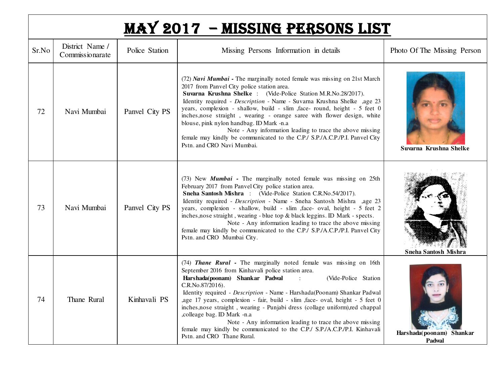|       |                                    |                | <b>MAY 2017 - MISSING PERSONS LIST</b>                                                                                                                                                                                                                                                                                                                                                                                                                                                                                                                                                                                                                                     |                                    |
|-------|------------------------------------|----------------|----------------------------------------------------------------------------------------------------------------------------------------------------------------------------------------------------------------------------------------------------------------------------------------------------------------------------------------------------------------------------------------------------------------------------------------------------------------------------------------------------------------------------------------------------------------------------------------------------------------------------------------------------------------------------|------------------------------------|
| Sr.No | District Name /<br>Commissionarate | Police Station | Missing Persons Information in details                                                                                                                                                                                                                                                                                                                                                                                                                                                                                                                                                                                                                                     | Photo Of The Missing Person        |
| 72    | Navi Mumbai                        | Panvel City PS | (72) Navi Mumbai - The marginally noted female was missing on 21st March<br>2017 from Panvel City police station area.<br>Suvarna Krushna Shelke : (Vide-Police Station M.R.No.28/2017).<br>Identity required - Description - Name - Suvarna Krushna Shelke ,age 23<br>years, complexion - shallow, build - slim , face- round, height - 5 feet 0<br>inches, nose straight, wearing - orange saree with flower design, white<br>blouse, pink nylon handbag. ID Mark -n.a<br>Note - Any information leading to trace the above missing<br>female may kindly be communicated to the C.P./ S.P./A.C.P./P.I. Panvel City<br>Pstn. and CRO Navi Mumbai.                         | Suvarna Krushna Shelke             |
| 73    | Navi Mumbai                        | Panvel City PS | (73) New <i>Mumbai</i> - The marginally noted female was missing on 25th<br>February 2017 from Panvel City police station area.<br>Sneha Santosh Mishra: (Vide-Police Station C.R.No.54/2017).<br>Identity required - Description - Name - Sneha Santosh Mishra ,age 23<br>years, complexion - shallow, build - slim , face- oval, height - 5 feet 2<br>inches, nose straight, wearing - blue top & black leggins. ID Mark - spects.<br>Note - Any information leading to trace the above missing<br>female may kindly be communicated to the C.P./ S.P./A.C.P./P.I. Panvel City<br>Pstn. and CRO Mumbai City.                                                             | <b>Sneha Santosh Mishra</b>        |
| 74    | Thane Rural                        | Kinhavali PS   | (74) Thane Rural - The marginally noted female was missing on 16th<br>September 2016 from Kinhavali police station area.<br>Harshada(poonam) Shankar Padwal<br>(Vide-Police Station<br>$\sim$ 100<br>C.R.No.87/2016).<br>Identity required - Description - Name - Harshada(Poonam) Shankar Padwal<br>,age 17 years, complexion - fair, build - slim ,face- oval, height - 5 feet 0<br>inches, nose straight, wearing - Punjabi dress (collage uniform), red chappal<br>,colleage bag. ID Mark -n.a<br>Note - Any information leading to trace the above missing<br>female may kindly be communicated to the C.P./ S.P./A.C.P./P.I. Kinhavali<br>Pstn. and CRO Thane Rural. | Harshada(poonam) Shankar<br>Padwal |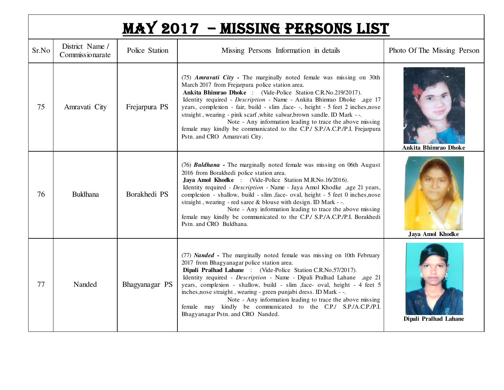## MAY 2017 – MISSING PERSONS LIST

| Sr.No | District Name /<br>Commissionarate | Police Station | Missing Persons Information in details                                                                                                                                                                                                                                                                                                                                                                                                                                                                                                                                                                     | Photo Of The Missing Person |
|-------|------------------------------------|----------------|------------------------------------------------------------------------------------------------------------------------------------------------------------------------------------------------------------------------------------------------------------------------------------------------------------------------------------------------------------------------------------------------------------------------------------------------------------------------------------------------------------------------------------------------------------------------------------------------------------|-----------------------------|
| 75    | Amravati City                      | Frejarpura PS  | (75) Amravati City - The marginally noted female was missing on 30th<br>March 2017 from Frejarpura police station area.<br>Ankita Bhimrao Dhoke: (Vide-Police Station C.R.No.219/2017).<br>Identity required - Description - Name - Ankita Bhimrao Dhoke ,age 17<br>years, complexion - fair, build - slim , face--, height - 5 feet 2 inches, nose<br>straight, wearing - pink scarf, white salwar, brown sandle. ID Mark --.<br>Note - Any information leading to trace the above missing<br>female may kindly be communicated to the C.P./ S.P./A.C.P./P.I. Frejarpura<br>Pstn. and CRO Amaravati City. | Ankita Bhimrao Dhoke        |
| 76    | <b>Buldhana</b>                    | Borakhedi PS   | (76) Buldhana - The marginally noted female was missing on 06th August<br>2016 from Borakhedi police station area.<br>Jaya Amol Khodke : (Vide-Police Station M.R.No.16/2016).<br>Identity required - Description - Name - Jaya Amol Khodke ,age 21 years,<br>complexion - shallow, build - slim, face- oval, height - 5 feet 0 inches, nose<br>straight, wearing - red saree & blouse with design. ID Mark --.<br>Note - Any information leading to trace the above missing<br>female may kindly be communicated to the C.P./ S.P./A.C.P./P.I. Borakhedi<br>Pstn. and CRO Buldhana.                       | Jaya Amol Khodke            |
| 77    | Nanded                             | Bhagyanagar PS | (77) Nanded - The marginally noted female was missing on 10th February<br>2017 from Bhagyanagar police station area.<br>Dipali Pralhad Lahane : (Vide-Police Station C.R.No.57/2017).<br>Identity required - Description - Name - Dipali Pralhad Lahane ,age 21<br>years, complexion - shallow, build - slim , face- oval, height - 4 feet 5<br>inches, nose straight, wearing - green punjabi dress. ID Mark --.<br>Note - Any information leading to trace the above missing<br>female may kindly be communicated to the C.P./ S.P./A.C.P./P.I.<br>Bhagyanagar Pstn. and CRO Nanded.                     | Dipali Pralhad Lahane       |

I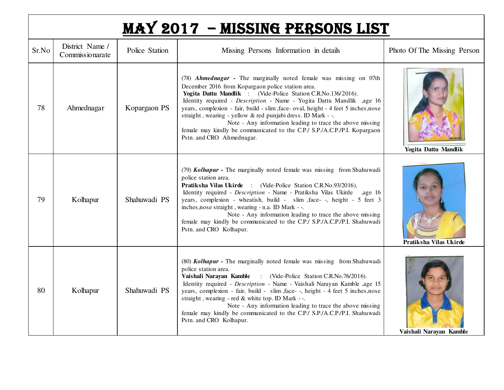| MAY 2017 - MISSING PERSONS LIST |
|---------------------------------|
|---------------------------------|

| Sr.No | District Name /<br>Commissionarate | Police Station | Missing Persons Information in details                                                                                                                                                                                                                                                                                                                                                                                                                                                                                                                                                       | Photo Of The Missing Person |
|-------|------------------------------------|----------------|----------------------------------------------------------------------------------------------------------------------------------------------------------------------------------------------------------------------------------------------------------------------------------------------------------------------------------------------------------------------------------------------------------------------------------------------------------------------------------------------------------------------------------------------------------------------------------------------|-----------------------------|
| 78    | Ahmednagar                         | Kopargaon PS   | (78) Ahmednagar - The marginally noted female was missing on 07th<br>December 2016 from Kopargaon police station area.<br>Yogita Dattu Mandlik : (Vide-Police Station C.R.No.136/2016).<br>Identity required - Description - Name - Yogita Dattu Mandlik ,age 16<br>years, complexion - fair, build - slim, face- oval, height - 4 feet 5 inches, nose<br>straight, wearing - yellow & red punjabi dress. ID Mark --.<br>Note - Any information leading to trace the above missing<br>female may kindly be communicated to the C.P./ S.P./A.C.P./P.I. Kopargaon<br>Pstn. and CRO Ahmednagar. | <b>Yogita Dattu Mandlik</b> |
| 79    | Kolhapur                           | Shahuwadi PS   | (79) Kolhapur - The marginally noted female was missing from Shahuwadi<br>police station area.<br>Pratiksha Vilas Ukirde : (Vide-Police Station C.R.No.93/2016).<br>Identity required - Description - Name - Pratiksha Vilas Ukirde ,age 16<br>years, complexion - wheatish, build - slim , face--, height - 5 feet 3<br>inches, nose straight, wearing - n.a. ID Mark --.<br>Note - Any information leading to trace the above missing<br>female may kindly be communicated to the C.P./ S.P./A.C.P./P.I. Shahuwadi<br>Pstn. and CRO Kolhapur.                                              | Pratiksha Vilas Ukirde      |
| 80    | Kolhapur                           | Shahuwadi PS   | (80) Kolhapur - The marginally noted female was missing from Shahuwadi<br>police station area.<br>Vaishali Narayan Kamble : (Vide-Police Station C.R.No.76/2016).<br>Identity required - Description - Name - Vaishali Narayan Kamble ,age 15<br>years, complexion - fair, build - slim, face--, height - 4 feet 5 inches, nose<br>straight, wearing - red & white top. ID Mark --.<br>Note - Any information leading to trace the above missing<br>female may kindly be communicated to the C.P./ S.P./A.C.P./P.I. Shahuwadi<br>Pstn. and CRO Kolhapur.                                     | Vaishali Narayan Kamble     |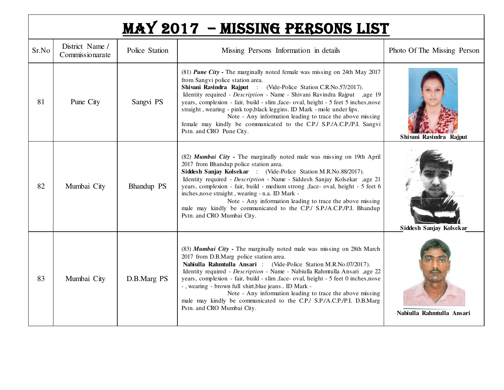| <b>MAY 2017 - MISSING PERSONS LIST</b> |                                    |                |                                                                                                                                                                                                                                                                                                                                                                                                                                                                                                                                                                                                        |                             |  |  |
|----------------------------------------|------------------------------------|----------------|--------------------------------------------------------------------------------------------------------------------------------------------------------------------------------------------------------------------------------------------------------------------------------------------------------------------------------------------------------------------------------------------------------------------------------------------------------------------------------------------------------------------------------------------------------------------------------------------------------|-----------------------------|--|--|
| Sr.No                                  | District Name /<br>Commissionarate | Police Station | Missing Persons Information in details                                                                                                                                                                                                                                                                                                                                                                                                                                                                                                                                                                 | Photo Of The Missing Person |  |  |
| 81                                     | Pune City                          | Sangvi PS      | (81) <b>Pune City</b> - The marginally noted female was missing on 24th May 2017<br>from Sangvi police station area.<br>Shivani Ravindra Rajput: (Vide-Police Station C.R.No.57/2017).<br>Identity required - Description - Name - Shivani Ravindra Rajput ,age 19<br>years, complexion - fair, build - slim, face- oval, height - 5 feet 5 inches, nose<br>straight, wearing - pink top, black leggins. ID Mark - mole under lips.<br>Note - Any information leading to trace the above missing<br>female may kindly be communicated to the C.P./ S.P./A.C.P./P.I. Sangvi<br>Pstn. and CRO Pune City. | Shivani Ravindra Rajput     |  |  |
| 82                                     | Mumbai City                        | Bhandup PS     | (82) Mumbai City - The marginally noted male was missing on 19th April<br>2017 from Bhandup police station area.<br>Siddesh Sanjay Kolsekar : (Vide-Police Station M.R.No.88/2017).<br>Identity required - Description - Name - Siddesh Sanjay Kolsekar ,age 21<br>years, complexion - fair, build - medium strong , face- oval, height - 5 feet 6<br>inches, nose straight, wearing - n.a. ID Mark -<br>Note - Any information leading to trace the above missing<br>male may kindly be communicated to the C.P./ S.P./A.C.P./P.I. Bhandup                                                            |                             |  |  |

|    |             |             | $\lim_{\alpha \to 0}$ in $\alpha$ is a continual trace to the C.I. S.I. $\pi$ .C.I. I. Butangup<br>Pstn. and CRO Mumbai City.                                                                                                                                                                                                                                                                                                                                                                                                                                                                  | Siddesh Sanjay Kolsekar   |
|----|-------------|-------------|------------------------------------------------------------------------------------------------------------------------------------------------------------------------------------------------------------------------------------------------------------------------------------------------------------------------------------------------------------------------------------------------------------------------------------------------------------------------------------------------------------------------------------------------------------------------------------------------|---------------------------|
| 83 | Mumbai City | D.B.Marg PS | (83) Mumbai City - The marginally noted male was missing on 28th March<br>2017 from D.B.Marg police station area.<br>Nabiulla Rahmtulla Ansari : (Vide-Police Station M.R.No.07/2017).<br>Identity required - <i>Description</i> - Name - Nabiulla Rahmtulla Ansari ,age 22<br>years, complexion - fair, build - slim, face - oval, height - 5 feet 0 inches, nose<br>-, wearing - brown full shirt, blue jeans ID Mark -<br>Note - Any information leading to trace the above missing<br>male may kindly be communicated to the C.P./ S.P./A.C.P./P.I. D.B.Marg<br>Pstn. and CRO Mumbai City. | Nabiulla Rahmtulla Ansari |